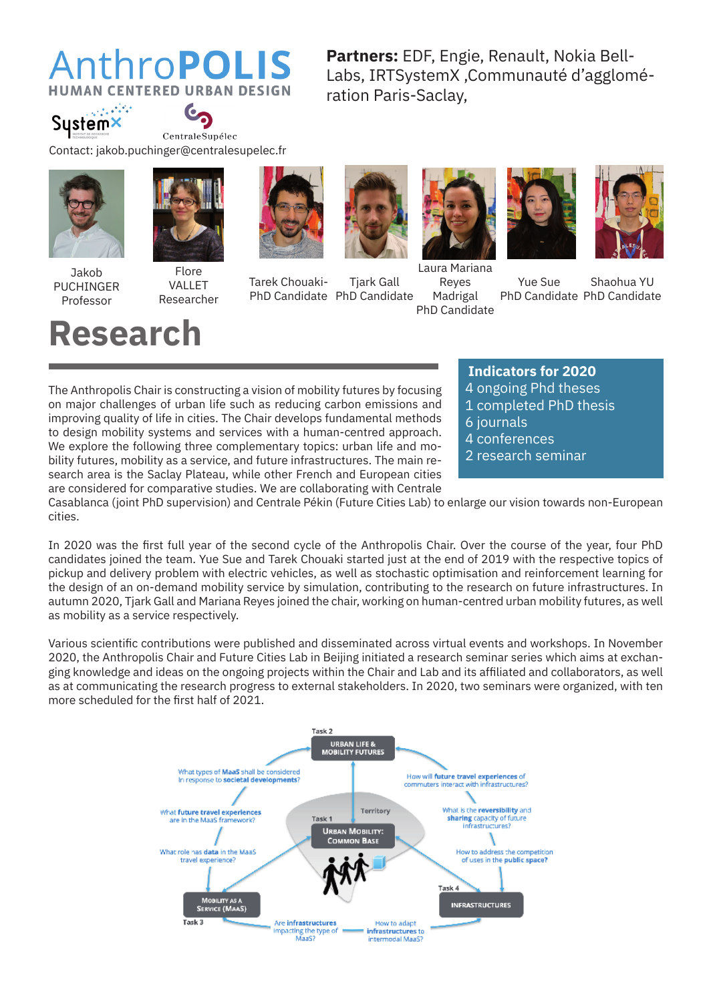### AnthroPOLIS **CENTERED URBAN DESIGN**

**Partners:** EDF, Engie, Renault, Nokia Bell-Labs, IRTSystemX ,Communauté d'agglomération Paris-Saclay,

فتكاتبهم Sustemx



Contact: jakob.puchinger@centralesupelec.fr





**Research**



Flore VALLET Researcher







Tarek Chouaki-PhD Candidate PhD Candidate Tjark Gall







Laura Mariana Reyes Madrigal PhD Candidate

Yue Sue PhD Candidate PhD Candidate Shaohua YU

#### The Anthropolis Chair is constructing a vision of mobility futures by focusing on major challenges of urban life such as reducing carbon emissions and improving quality of life in cities. The Chair develops fundamental methods

to design mobility systems and services with a human-centred approach. We explore the following three complementary topics: urban life and mobility futures, mobility as a service, and future infrastructures. The main research area is the Saclay Plateau, while other French and European cities are considered for comparative studies. We are collaborating with Centrale

- **Indicators for 2020**
- 4 ongoing Phd theses
- 1 completed PhD thesis
- 6 journals
- 4 conferences
- 2 research seminar

Casablanca (joint PhD supervision) and Centrale Pékin (Future Cities Lab) to enlarge our vision towards non-European cities.

In 2020 was the first full year of the second cycle of the Anthropolis Chair. Over the course of the year, four PhD candidates joined the team. Yue Sue and Tarek Chouaki started just at the end of 2019 with the respective topics of pickup and delivery problem with electric vehicles, as well as stochastic optimisation and reinforcement learning for the design of an on-demand mobility service by simulation, contributing to the research on future infrastructures. In autumn 2020, Tjark Gall and Mariana Reyes joined the chair, working on human-centred urban mobility futures, as well as mobility as a service respectively.

Various scientific contributions were published and disseminated across virtual events and workshops. In November 2020, the Anthropolis Chair and Future Cities Lab in Beijing initiated a research seminar series which aims at exchanging knowledge and ideas on the ongoing projects within the Chair and Lab and its affi liated and collaborators, as well as at communicating the research progress to external stakeholders. In 2020, two seminars were organized, with ten more scheduled for the first half of 2021.